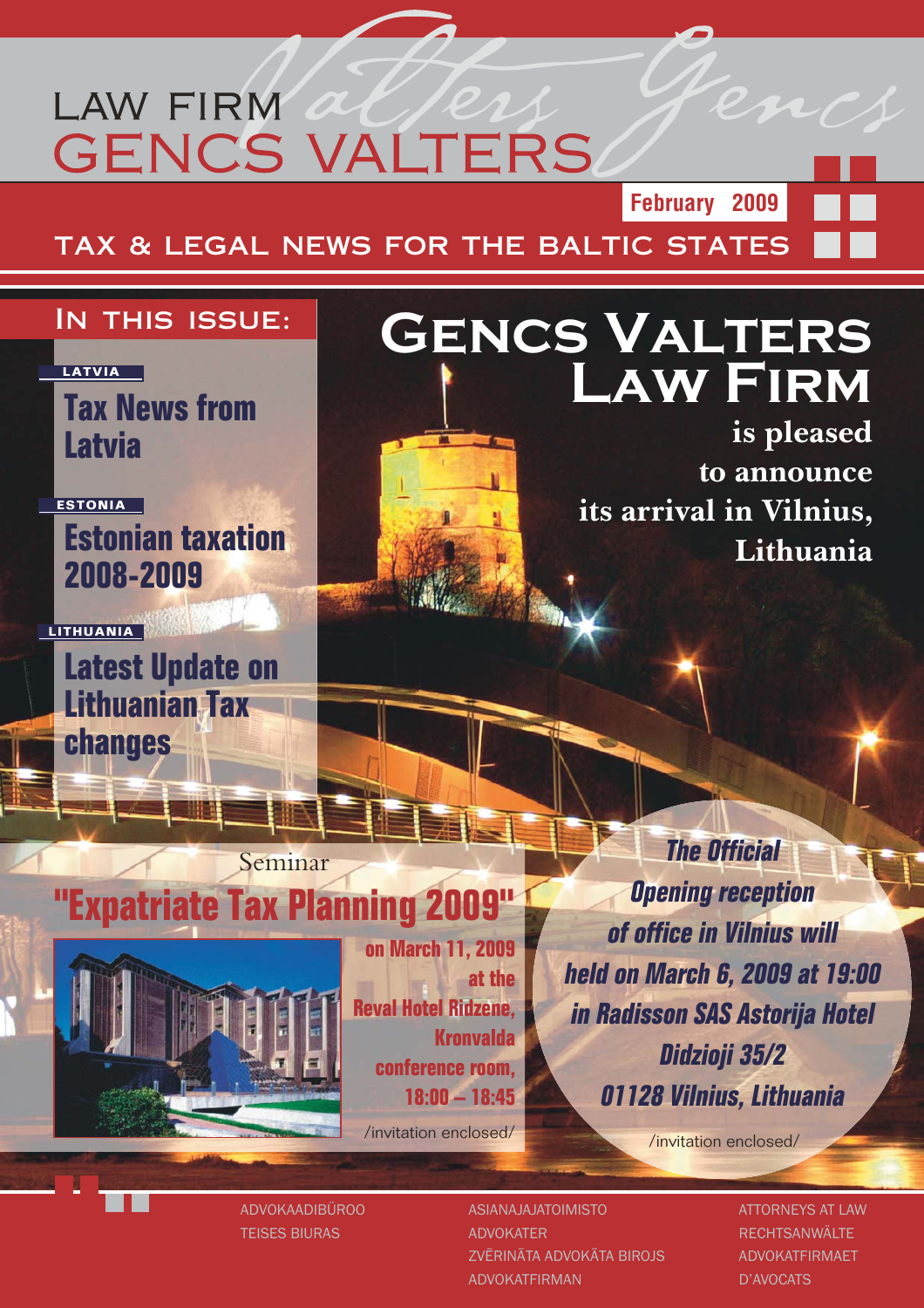## **LAW FIRM GENCS VALTERS**

**TAX & LEGAL NEWS FOR THE BALTIC STATES**

## **In this issue:**

**LATVIA**

**Tax News from Latvia**

**ESTONIA**

**LITHUANIA**

**Estonian taxation 2008-2009**

**Latest Update on Lithuanian Tax changes**

## **Gencs Valters Law Firm**

**is pleased to announce its arrival in Vilnius, Lithuania**

**February 2009**

## **"Expatriate Tax Planning 2009"**

Seminar

**on March 11, 2009 at the Reval Hotel Ridzene, Kronvalda conference room, 18:00 – 18:45**

/invitation enclosed/

*The Official Opening reception of office in Vilnius will held on March 6, 2009 at 19:00 in Radisson SAS Astorija Hotel Didzioji 35/2 01128 Vilnius, Lithuania*

/invitation enclosed/

ADVOKAADIBÜROO TEISES BIURAS

ASIANAJAJATOIMISTO ADVOKATER ZVĒRINĀTA ADVOKĀTA BIROJS ADVOKATFIRMAN

ATTORNEYS AT LAW **RECHTSANWÄLTE** ADVOKATFIRMAET D'AVOCATS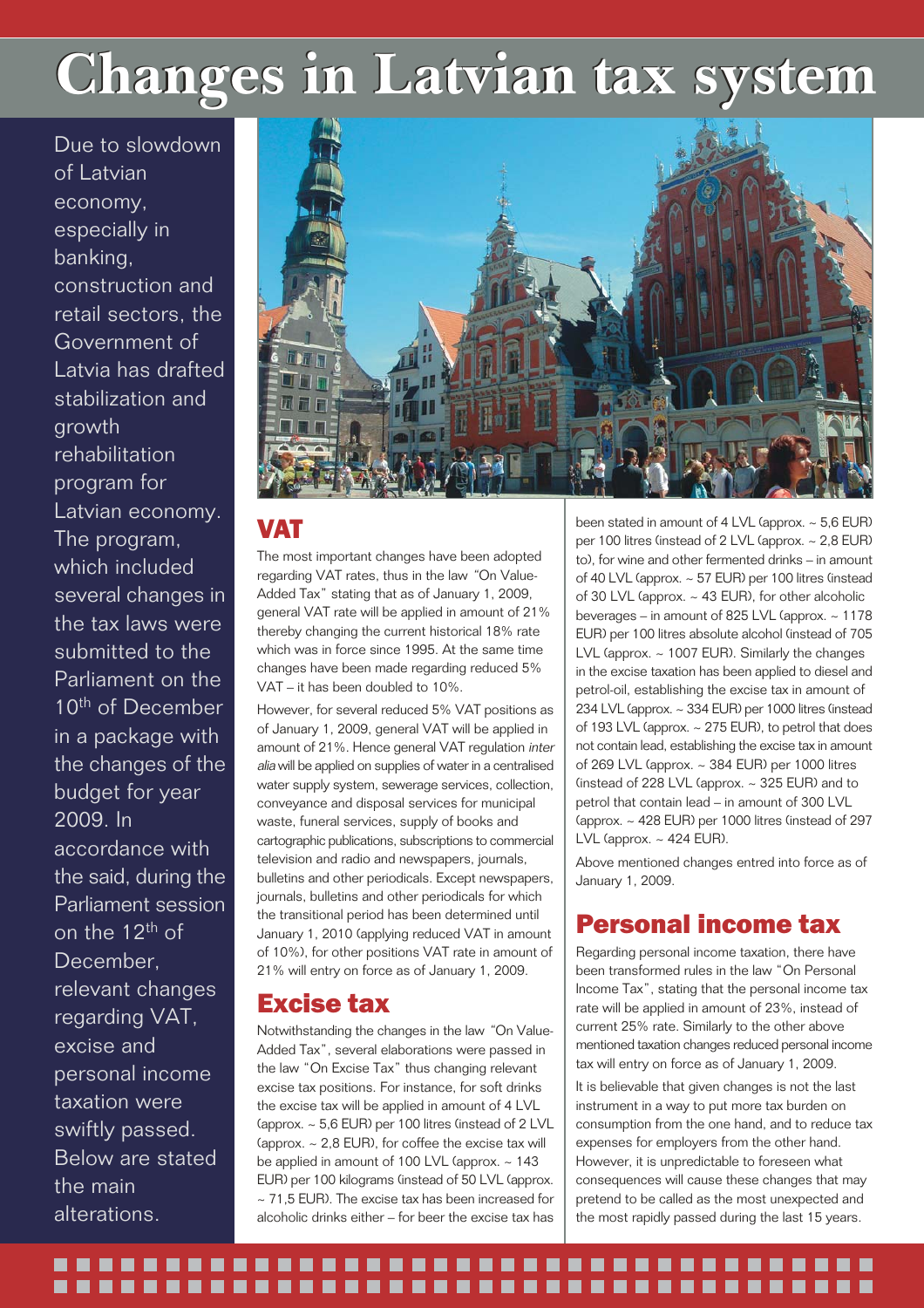## **Changes in Latvian tax system Changes in Latvian tax system**

Due to slowdown of Latvian economy, especially in banking, construction and retail sectors, the Government of Latvia has drafted stabilization and growth rehabilitation program for Latvian economy. The program, which included several changes in the tax laws were submitted to the Parliament on the 10<sup>th</sup> of December in a package with the changes of the budget for year 2009. In accordance with the said, during the Parliament session on the 12th of December, relevant changes regarding VAT, excise and personal income taxation were swiftly passed. Below are stated the main

alterations.



### VAT

The most important changes have been adopted regarding VAT rates, thus in the law *"*On Value-Added Tax" stating that as of January 1, 2009, general VAT rate will be applied in amount of 21% thereby changing the current historical 18% rate which was in force since 1995. At the same time changes have been made regarding reduced 5% VAT – it has been doubled to 10%.

However, for several reduced 5% VAT positions as of January 1, 2009, general VAT will be applied in amount of 21%. Hence general VAT regulation *inter alia* will be applied on supplies of water in a centralised water supply system, sewerage services, collection, conveyance and disposal services for municipal waste, funeral services, supply of books and cartographic publications, subscriptions to commercial television and radio and newspapers, journals, bulletins and other periodicals. Except newspapers, journals, bulletins and other periodicals for which the transitional period has been determined until January 1, 2010 (applying reduced VAT in amount of 10%), for other positions VAT rate in amount of 21% will entry on force as of January 1, 2009.

### Excise tax

Notwithstanding the changes in the law *"*On Value-Added Tax", several elaborations were passed in the law "On Excise Tax" thus changing relevant excise tax positions. For instance, for soft drinks the excise tax will be applied in amount of 4 LVL (approx. ~ 5,6 EUR) per 100 litres (instead of 2 LVL (approx.  $\sim$  2.8 EUR), for coffee the excise tax will be applied in amount of 100 LVL (approx. ~ 143 EUR) per 100 kilograms (instead of 50 LVL (approx.  $\sim$  71,5 EUR). The excise tax has been increased for alcoholic drinks either – for beer the excise tax has

been stated in amount of 4 LVL (approx.  $\sim$  5.6 EUR) per 100 litres (instead of 2 LVL (approx. ~ 2,8 EUR) to), for wine and other fermented drinks – in amount of 40 LVL (approx. ~ 57 EUR) per 100 litres (instead of 30 LVL (approx. ~ 43 EUR), for other alcoholic beverages – in amount of 825 LVL (approx. ~ 1178 EUR) per 100 litres absolute alcohol (instead of 705 LVL (approx. ~ 1007 EUR). Similarly the changes in the excise taxation has been applied to diesel and petrol-oil, establishing the excise tax in amount of 234 LVL (approx. ~ 334 EUR) per 1000 litres (instead of 193 LVL (approx. ~ 275 EUR), to petrol that does not contain lead, establishing the excise tax in amount of 269 LVL (approx. ~ 384 EUR) per 1000 litres (instead of 228 LVL (approx.  $\sim$  325 EUR) and to petrol that contain lead – in amount of 300 LVL (approx. ~ 428 EUR) per 1000 litres (instead of 297 LVL (approx.  $\sim$  424 EUR).

Above mentioned changes entred into force as of January 1, 2009.

## Personal income tax

Regarding personal income taxation, there have been transformed rules in the law "On Personal Income Tax", stating that the personal income tax rate will be applied in amount of 23%, instead of current 25% rate. Similarly to the other above mentioned taxation changes reduced personal income tax will entry on force as of January 1, 2009.

It is believable that given changes is not the last instrument in a way to put more tax burden on consumption from the one hand, and to reduce tax expenses for employers from the other hand. However, it is unpredictable to foreseen what consequences will cause these changes that may pretend to be called as the most unexpected and the most rapidly passed during the last 15 years.

## ---------------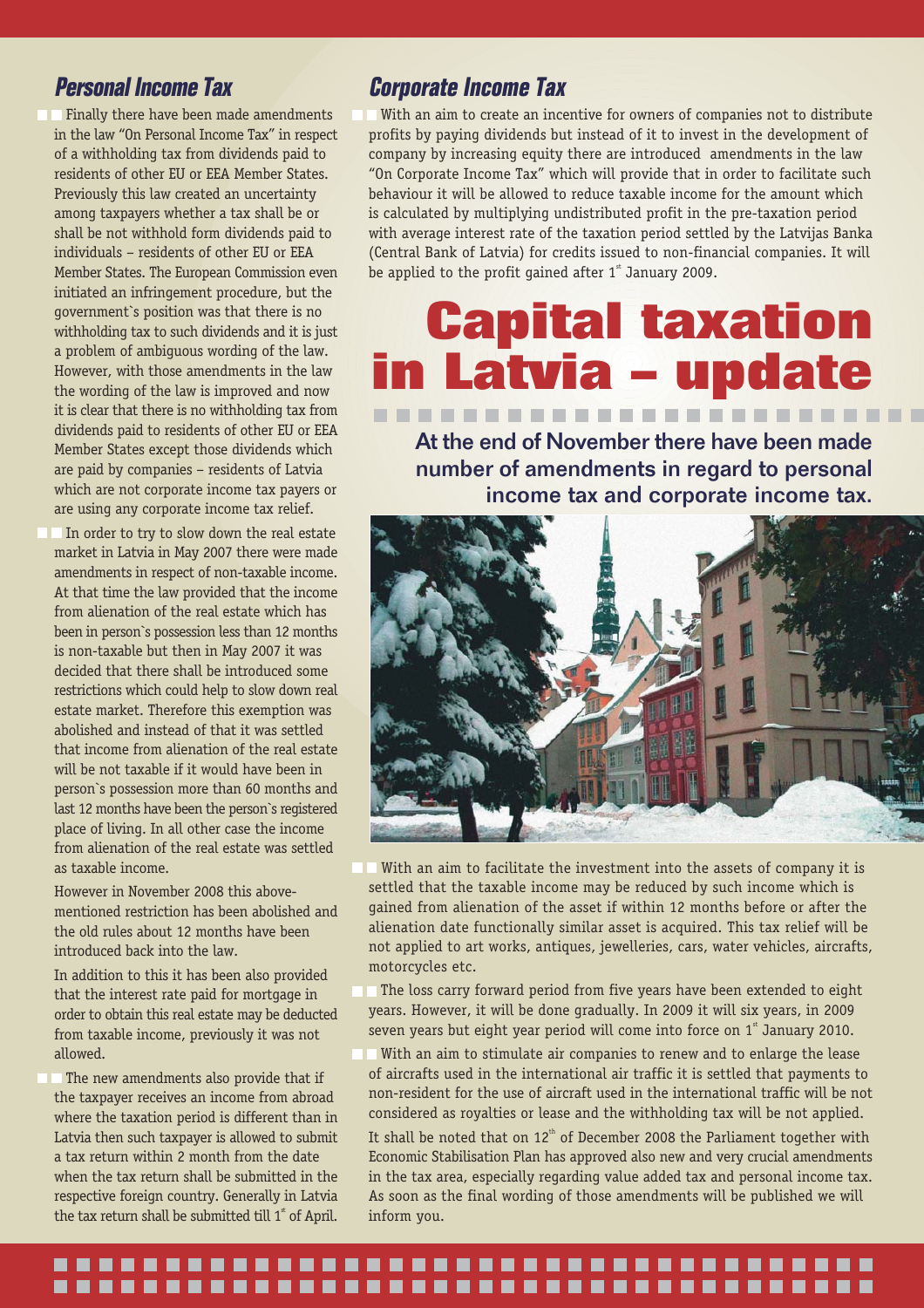## *Personal Income Tax*

**• Finally there have been made amendments** in the law "On Personal Income Tax" in respect of a withholding tax from dividends paid to residents of other EU or EEA Member States. Previously this law created an uncertainty among taxpayers whether a tax shall be or shall be not withhold form dividends paid to individuals – residents of other EU or EEA Member States. The European Commission even initiated an infringement procedure, but the government`s position was that there is no withholding tax to such dividends and it is just a problem of ambiguous wording of the law. However, with those amendments in the law the wording of the law is improved and now it is clear that there is no withholding tax from dividends paid to residents of other EU or EEA Member States except those dividends which are paid by companies – residents of Latvia which are not corporate income tax payers or are using any corporate income tax relief.

**IF In order to try to slow down the real estate** market in Latvia in May 2007 there were made amendments in respect of non-taxable income. At that time the law provided that the income from alienation of the real estate which has been in person`s possession less than 12 months is non-taxable but then in May 2007 it was decided that there shall be introduced some restrictions which could help to slow down real estate market. Therefore this exemption was abolished and instead of that it was settled that income from alienation of the real estate will be not taxable if it would have been in person`s possession more than 60 months and last 12 months have been the person`s registered place of living. In all other case the income from alienation of the real estate was settled as taxable income.

However in November 2008 this abovementioned restriction has been abolished and the old rules about 12 months have been introduced back into the law.

In addition to this it has been also provided that the interest rate paid for mortgage in order to obtain this real estate may be deducted from taxable income, previously it was not allowed.

**• The new amendments also provide that if** the taxpayer receives an income from abroad where the taxation period is different than in Latvia then such taxpayer is allowed to submit a tax return within 2 month from the date when the tax return shall be submitted in the respective foreign country. Generally in Latvia the tax return shall be submitted till  $1^*$  of April.

### *Corporate Income Tax*

With an aim to create an incentive for owners of companies not to distribute profits by paying dividends but instead of it to invest in the development of company by increasing equity there are introduced amendments in the law "On Corporate Income Tax" which will provide that in order to facilitate such behaviour it will be allowed to reduce taxable income for the amount which is calculated by multiplying undistributed profit in the pre-taxation period with average interest rate of the taxation period settled by the Latvijas Banka (Central Bank of Latvia) for credits issued to non-financial companies. It will be applied to the profit gained after  $1^{\text{st}}$  January 2009.

## **Capital taxation in Latvia – update** -------------------------

At the end of November there have been made number of amendments in regard to personal income tax and corporate income tax.



- With an aim to facilitate the investment into the assets of company it is settled that the taxable income may be reduced by such income which is gained from alienation of the asset if within 12 months before or after the alienation date functionally similar asset is acquired. This tax relief will be not applied to art works, antiques, jewelleries, cars, water vehicles, aircrafts, motorcycles etc.
- The loss carry forward period from five years have been extended to eight years. However, it will be done gradually. In 2009 it will six years, in 2009 seven years but eight year period will come into force on  $1<sup>st</sup>$  January 2010.
- With an aim to stimulate air companies to renew and to enlarge the lease of aircrafts used in the international air traffic it is settled that payments to non-resident for the use of aircraft used in the international traffic will be not considered as royalties or lease and the withholding tax will be not applied.

It shall be noted that on  $12<sup>th</sup>$  of December 2008 the Parliament together with Economic Stabilisation Plan has approved also new and very crucial amendments in the tax area, especially regarding value added tax and personal income tax. As soon as the final wording of those amendments will be published we will inform you.

### .................................. .....................................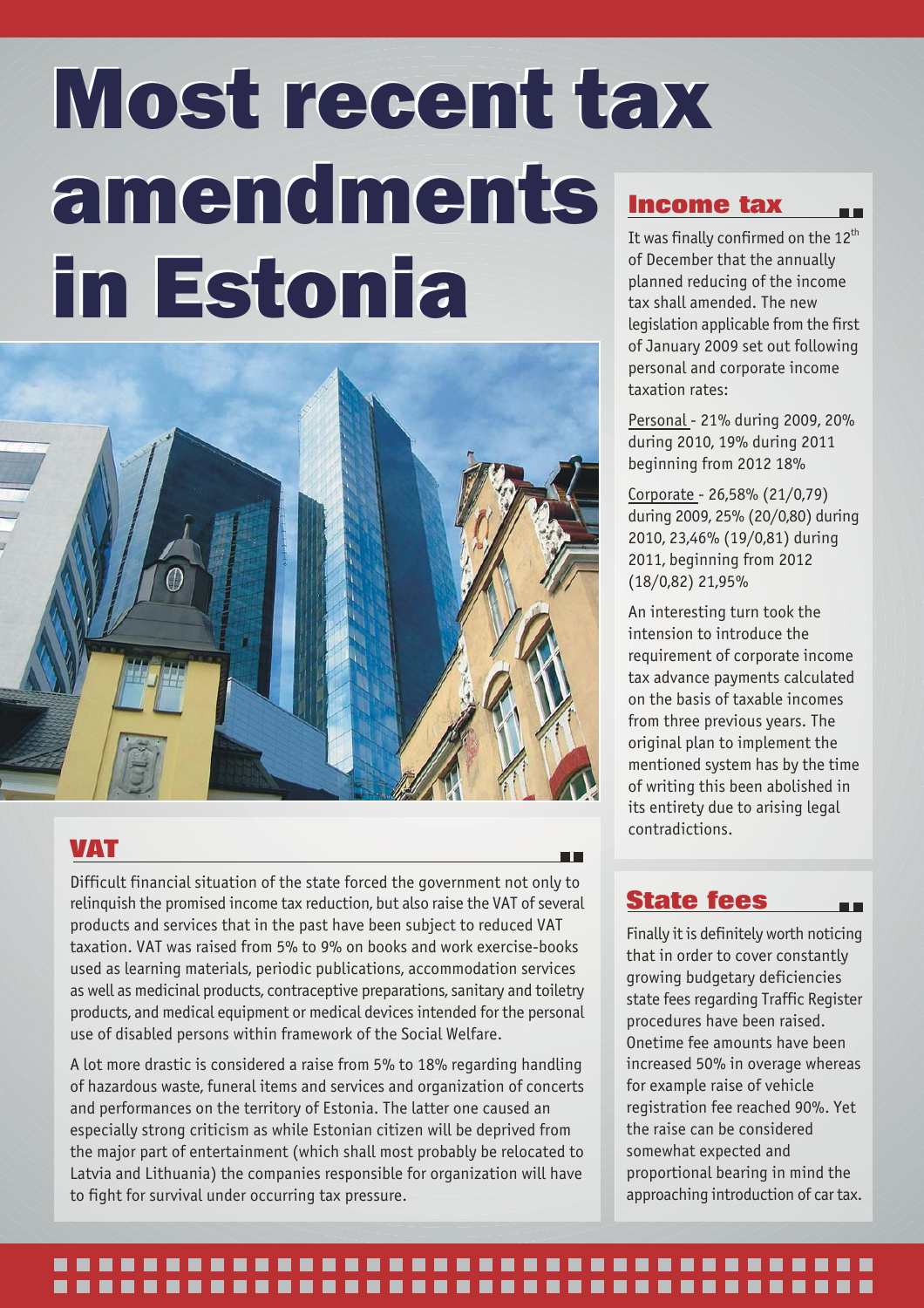# Most recent tax Most recent tax amendments amendments in Estonia in Estonia



### **VAT**

Difficult financial situation of the state forced the government not only to relinquish the promised income tax reduction, but also raise the VAT of several products and services that in the past have been subject to reduced VAT taxation. VAT was raised from 5% to 9% on books and work exercise-books used as learning materials, periodic publications, accommodation services as well as medicinal products, contraceptive preparations, sanitary and toiletry products, and medical equipment or medical devices intended for the personal use of disabled persons within framework of the Social Welfare.

A lot more drastic is considered a raise from 5% to 18% regarding handling of hazardous waste, funeral items and services and organization of concerts and performances on the territory of Estonia. The latter one caused an especially strong criticism as while Estonian citizen will be deprived from the major part of entertainment (which shall most probably be relocated to Latvia and Lithuania) the companies responsible for organization will have to fight for survival under occurring tax pressure.

## **Income tax**

It was finally confirmed on the  $12<sup>th</sup>$ of December that the annually planned reducing of the income tax shall amended. The new legislation applicable from the first of January 2009 set out following personal and corporate income taxation rates:

n a

Personal - 21% during 2009, 20% during 2010, 19% during 2011 beginning from 2012 18%

Corporate - 26,58% (21/0,79) during 2009, 25% (20/0,80) during 2010, 23,46% (19/0,81) during 2011, beginning from 2012 (18/0,82) 21,95%

An interesting turn took the intension to introduce the requirement of corporate income tax advance payments calculated on the basis of taxable incomes from three previous years. The original plan to implement the mentioned system has by the time of writing this been abolished in its entirety due to arising legal contradictions.

## **State fees**

Finally it is definitely worth noticing that in order to cover constantly growing budgetary deficiencies state fees regarding Traffic Register procedures have been raised. Onetime fee amounts have been increased 50% in overage whereas for example raise of vehicle registration fee reached 90%. Yet the raise can be considered somewhat expected and proportional bearing in mind the approaching introduction of car tax.

### -----------------------.....................................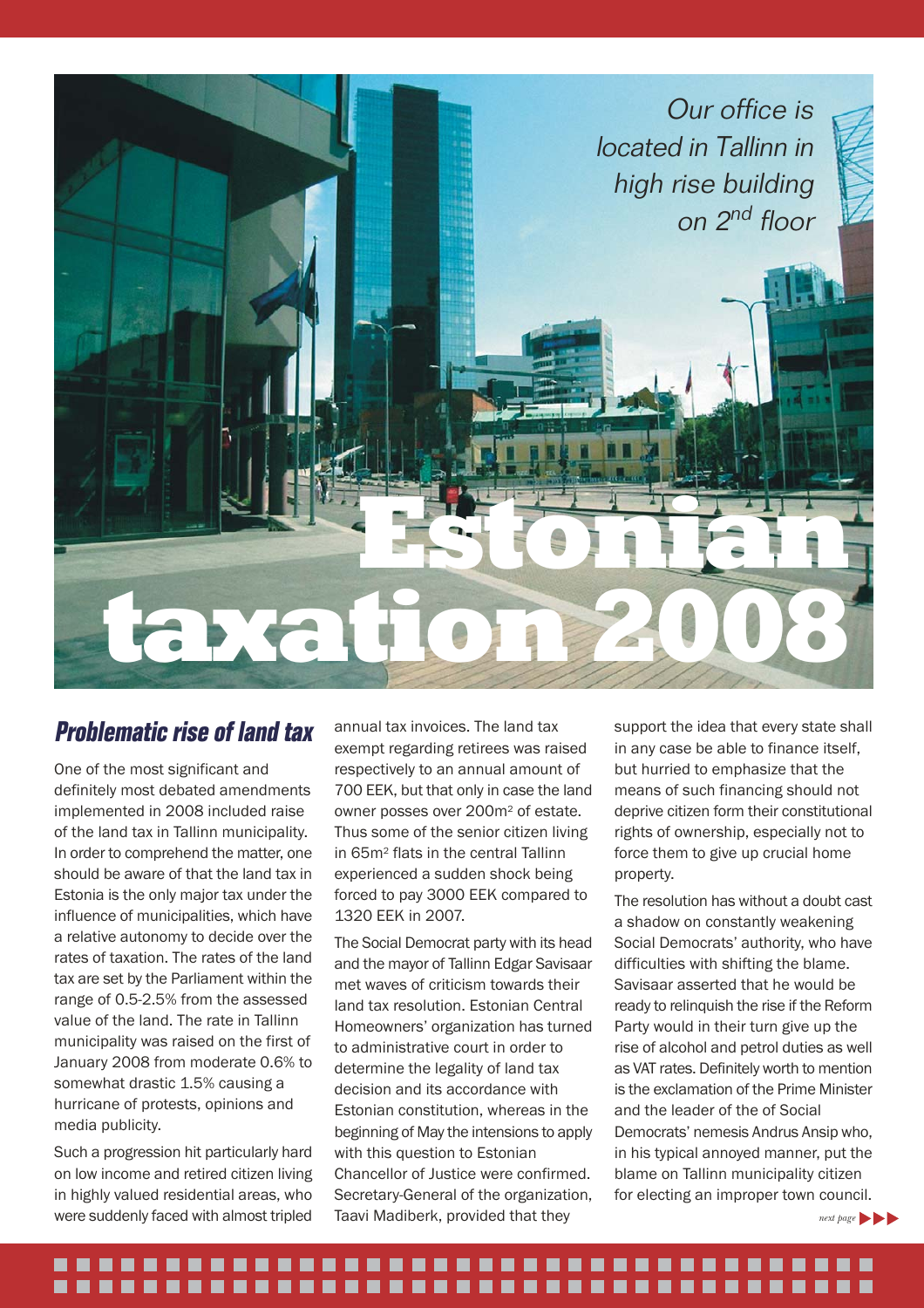![](_page_4_Picture_0.jpeg)

## *Problematic rise of land tax*

One of the most significant and definitely most debated amendments implemented in 2008 included raise of the land tax in Tallinn municipality. In order to comprehend the matter, one should be aware of that the land tax in Estonia is the only major tax under the influence of municipalities, which have a relative autonomy to decide over the rates of taxation. The rates of the land tax are set by the Parliament within the range of 0.5-2.5% from the assessed value of the land. The rate in Tallinn municipality was raised on the first of January 2008 from moderate 0.6% to somewhat drastic 1.5% causing a hurricane of protests, opinions and media publicity.

Such a progression hit particularly hard on low income and retired citizen living in highly valued residential areas, who were suddenly faced with almost tripled

annual tax invoices. The land tax exempt regarding retirees was raised respectively to an annual amount of 700 EEK, but that only in case the land owner posses over 200m2 of estate. Thus some of the senior citizen living in 65m2 flats in the central Tallinn experienced a sudden shock being forced to pay 3000 EEK compared to 1320 EEK in 2007.

The Social Democrat party with its head and the mayor of Tallinn Edgar Savisaar met waves of criticism towards their land tax resolution. Estonian Central Homeowners' organization has turned to administrative court in order to determine the legality of land tax decision and its accordance with Estonian constitution, whereas in the beginning of May the intensions to apply with this question to Estonian Chancellor of Justice were confirmed. Secretary-General of the organization, Taavi Madiberk, provided that they

support the idea that every state shall in any case be able to finance itself, but hurried to emphasize that the means of such financing should not deprive citizen form their constitutional rights of ownership, especially not to force them to give up crucial home property.

The resolution has without a doubt cast a shadow on constantly weakening Social Democrats' authority, who have difficulties with shifting the blame. Savisaar asserted that he would be ready to relinquish the rise if the Reform Party would in their turn give up the rise of alcohol and petrol duties as well as VAT rates. Definitely worth to mention is the exclamation of the Prime Minister and the leader of the of Social Democrats' nemesis Andrus Ansip who, in his typical annoyed manner, put the blame on Tallinn municipality citizen for electing an improper town council.

*next page* 

#### ---------...........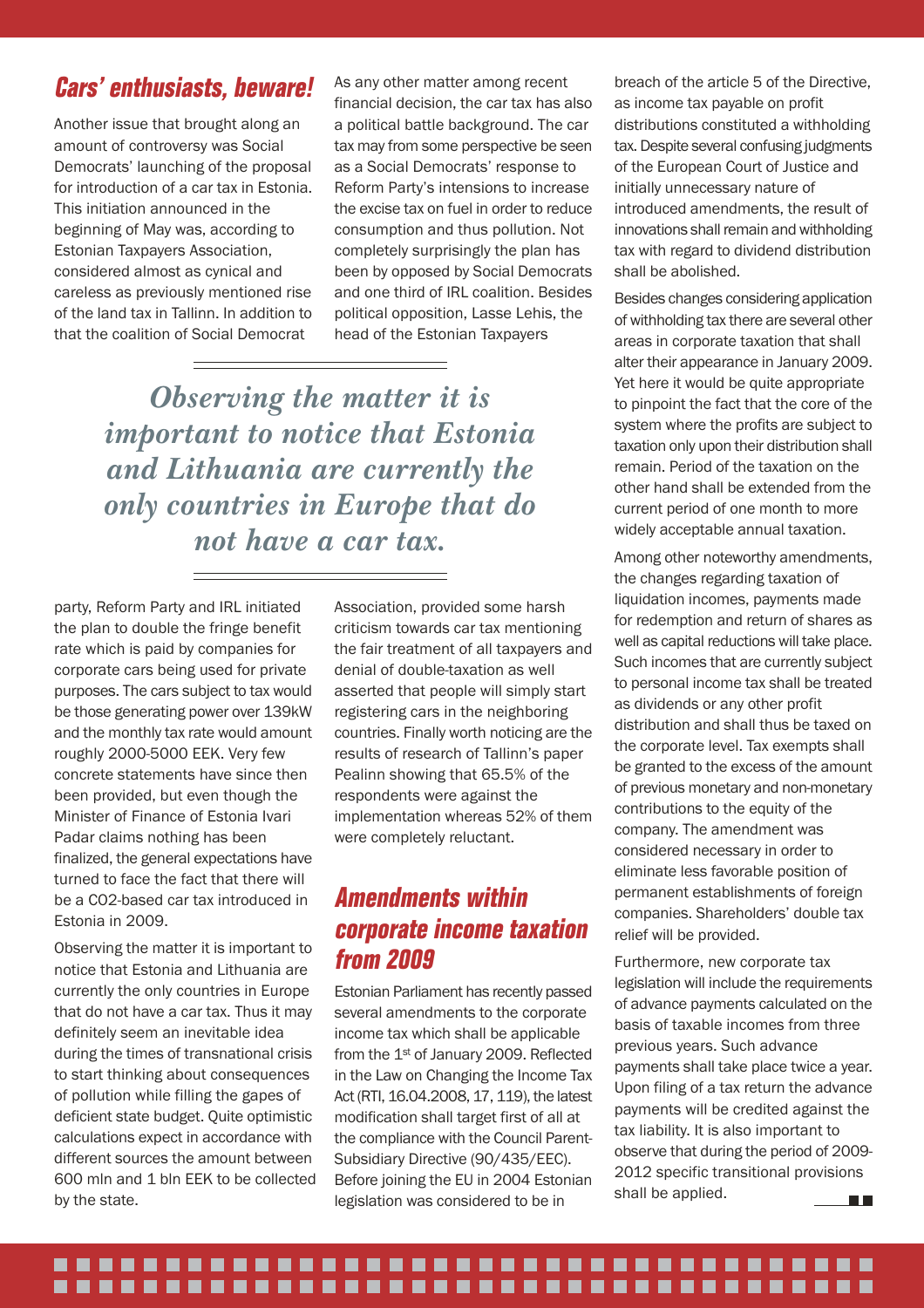## *Cars' enthusiasts, beware!*

Another issue that brought along an amount of controversy was Social Democrats' launching of the proposal for introduction of a car tax in Estonia. This initiation announced in the beginning of May was, according to Estonian Taxpayers Association, considered almost as cynical and careless as previously mentioned rise of the land tax in Tallinn. In addition to that the coalition of Social Democrat

As any other matter among recent financial decision, the car tax has also a political battle background. The car tax may from some perspective be seen as a Social Democrats' response to Reform Party's intensions to increase the excise tax on fuel in order to reduce consumption and thus pollution. Not completely surprisingly the plan has been by opposed by Social Democrats and one third of IRL coalition. Besides political opposition, Lasse Lehis, the head of the Estonian Taxpayers

*Observing the matter it is important to notice that Estonia and Lithuania are currently the only countries in Europe that do not have a car tax.*

party, Reform Party and IRL initiated the plan to double the fringe benefit rate which is paid by companies for corporate cars being used for private purposes. The cars subject to tax would be those generating power over 139kW and the monthly tax rate would amount roughly 2000-5000 EEK. Very few concrete statements have since then been provided, but even though the Minister of Finance of Estonia Ivari Padar claims nothing has been finalized, the general expectations have turned to face the fact that there will be a CO2-based car tax introduced in Estonia in 2009.

Observing the matter it is important to notice that Estonia and Lithuania are currently the only countries in Europe that do not have a car tax. Thus it may definitely seem an inevitable idea during the times of transnational crisis to start thinking about consequences of pollution while filling the gapes of deficient state budget. Quite optimistic calculations expect in accordance with different sources the amount between 600 mln and 1 bln EEK to be collected by the state.

Association, provided some harsh criticism towards car tax mentioning the fair treatment of all taxpayers and denial of double-taxation as well asserted that people will simply start registering cars in the neighboring countries. Finally worth noticing are the results of research of Tallinn's paper Pealinn showing that 65.5% of the respondents were against the implementation whereas 52% of them were completely reluctant.

## *Amendments within corporate income taxation from 2009*

Estonian Parliament has recently passed several amendments to the corporate income tax which shall be applicable from the 1st of January 2009. Reflected in the Law on Changing the Income Tax Act (RTI, 16.04.2008, 17, 119), the latest modification shall target first of all at the compliance with the Council Parent-Subsidiary Directive (90/435/EEC). Before joining the EU in 2004 Estonian legislation was considered to be in

breach of the article 5 of the Directive, as income tax payable on profit distributions constituted a withholding tax. Despite several confusing judgments of the European Court of Justice and initially unnecessary nature of introduced amendments, the result of innovations shall remain and withholding tax with regard to dividend distribution shall be abolished.

Besides changes considering application of withholding tax there are several other areas in corporate taxation that shall alter their appearance in January 2009. Yet here it would be quite appropriate to pinpoint the fact that the core of the system where the profits are subject to taxation only upon their distribution shall remain. Period of the taxation on the other hand shall be extended from the current period of one month to more widely acceptable annual taxation.

Among other noteworthy amendments, the changes regarding taxation of liquidation incomes, payments made for redemption and return of shares as well as capital reductions will take place. Such incomes that are currently subject to personal income tax shall be treated as dividends or any other profit distribution and shall thus be taxed on the corporate level. Tax exempts shall be granted to the excess of the amount of previous monetary and non-monetary contributions to the equity of the company. The amendment was considered necessary in order to eliminate less favorable position of permanent establishments of foreign companies. Shareholders' double tax relief will be provided.

Furthermore, new corporate tax legislation will include the requirements of advance payments calculated on the basis of taxable incomes from three previous years. Such advance payments shall take place twice a year. Upon filing of a tax return the advance payments will be credited against the tax liability. It is also important to observe that during the period of 2009- 2012 specific transitional provisions shall be applied. **The Co** 

### ......................................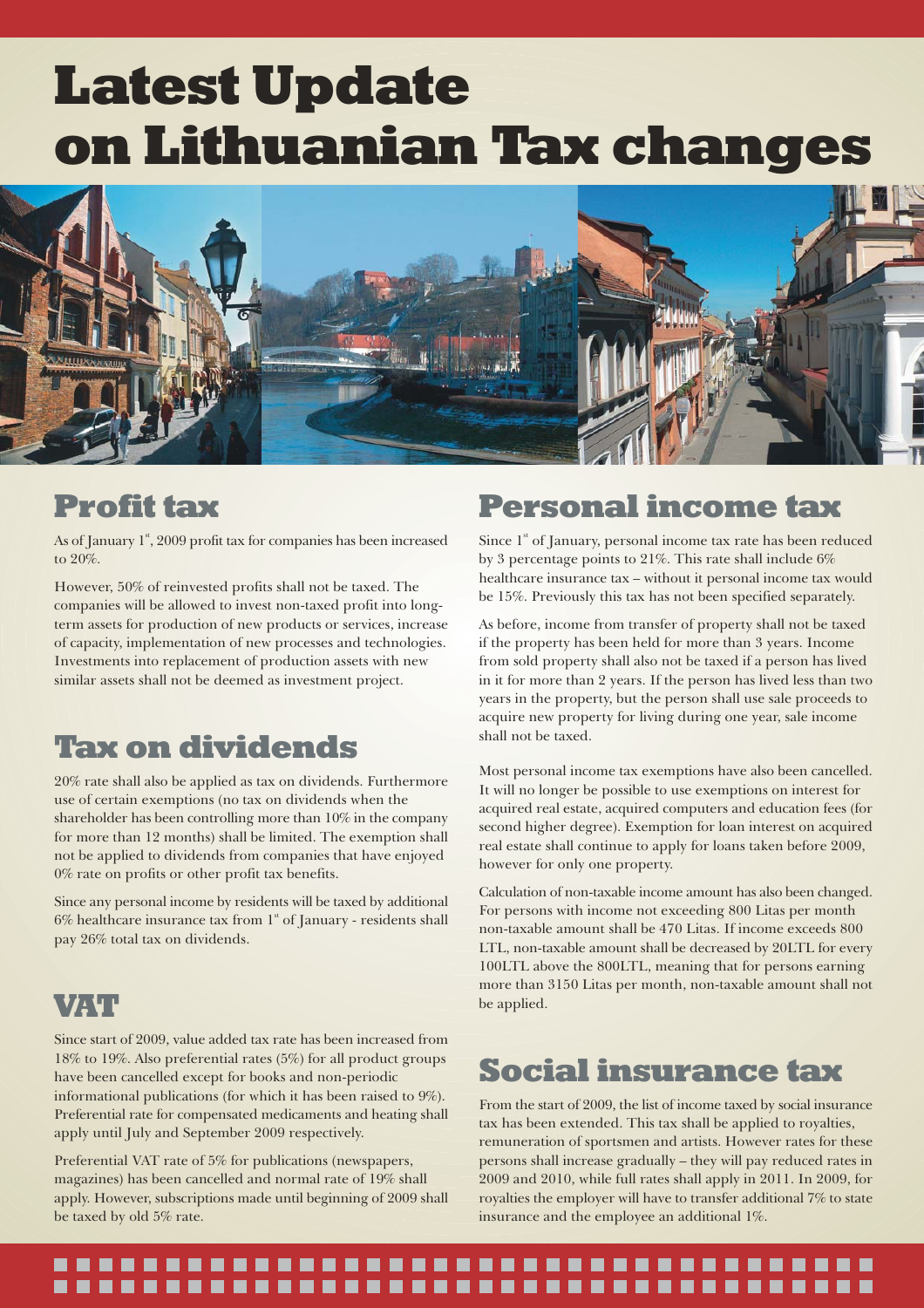## Latest Update on Lithuanian Tax changes

![](_page_6_Picture_1.jpeg)

## Profit tax

As of January  $1^{\text{st}}$ , 2009 profit tax for companies has been increased to 20%.

However, 50% of reinvested profits shall not be taxed. The companies will be allowed to invest non-taxed profit into longterm assets for production of new products or services, increase of capacity, implementation of new processes and technologies. Investments into replacement of production assets with new similar assets shall not be deemed as investment project.

## Tax on dividends

20% rate shall also be applied as tax on dividends. Furthermore use of certain exemptions (no tax on dividends when the shareholder has been controlling more than 10% in the company for more than 12 months) shall be limited. The exemption shall not be applied to dividends from companies that have enjoyed 0% rate on profits or other profit tax benefits.

Since any personal income by residents will be taxed by additional  $6\%$  healthcare insurance tax from  $1<sup>st</sup>$  of January - residents shall pay 26% total tax on dividends.

## VAT

Since start of 2009, value added tax rate has been increased from 18% to 19%. Also preferential rates (5%) for all product groups have been cancelled except for books and non-periodic informational publications (for which it has been raised to 9%). Preferential rate for compensated medicaments and heating shall apply until July and September 2009 respectively.

Preferential VAT rate of 5% for publications (newspapers, magazines) has been cancelled and normal rate of 19% shall apply. However, subscriptions made until beginning of 2009 shall be taxed by old 5% rate.

## Personal income tax

Since  $1<sup>s</sup>$  of January, personal income tax rate has been reduced by 3 percentage points to 21%. This rate shall include 6% healthcare insurance tax – without it personal income tax would be 15%. Previously this tax has not been specified separately.

As before, income from transfer of property shall not be taxed if the property has been held for more than 3 years. Income from sold property shall also not be taxed if a person has lived in it for more than 2 years. If the person has lived less than two years in the property, but the person shall use sale proceeds to acquire new property for living during one year, sale income shall not be taxed.

Most personal income tax exemptions have also been cancelled. It will no longer be possible to use exemptions on interest for acquired real estate, acquired computers and education fees (for second higher degree). Exemption for loan interest on acquired real estate shall continue to apply for loans taken before 2009, however for only one property.

Calculation of non-taxable income amount has also been changed. For persons with income not exceeding 800 Litas per month non-taxable amount shall be 470 Litas. If income exceeds 800 LTL, non-taxable amount shall be decreased by 20LTL for every 100LTL above the 800LTL, meaning that for persons earning more than 3150 Litas per month, non-taxable amount shall not be applied.

## Social insurance tax

From the start of 2009, the list of income taxed by social insurance tax has been extended. This tax shall be applied to royalties, remuneration of sportsmen and artists. However rates for these persons shall increase gradually – they will pay reduced rates in 2009 and 2010, while full rates shall apply in 2011. In 2009, for royalties the employer will have to transfer additional 7% to state insurance and the employee an additional 1%.

## .................. ...................................